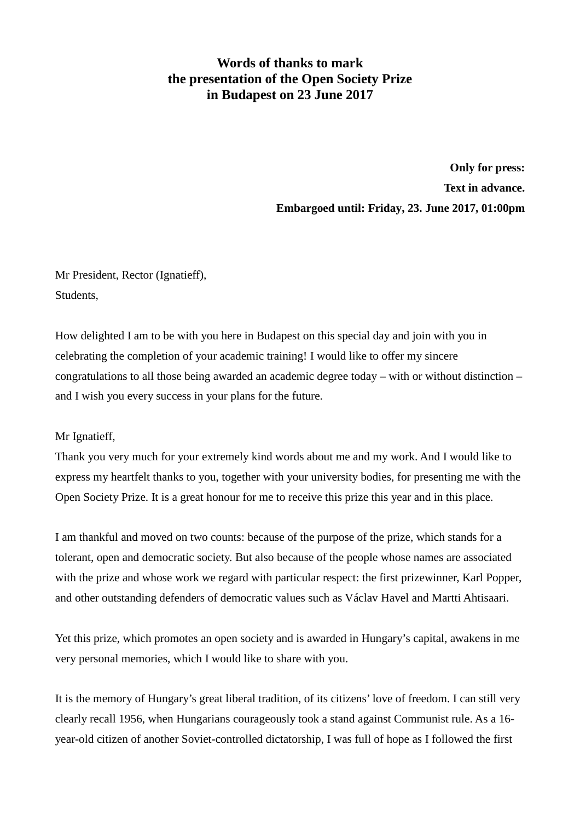## **Words of thanks to mark the presentation of the Open Society Prize in Budapest on 23 June 2017**

**Only for press: Text in advance. Embargoed until: Friday, 23. June 2017, 01:00pm**

Mr President, Rector (Ignatieff), Students,

How delighted I am to be with you here in Budapest on this special day and join with you in celebrating the completion of your academic training! I would like to offer my sincere congratulations to all those being awarded an academic degree today – with or without distinction – and I wish you every success in your plans for the future.

## Mr Ignatieff,

Thank you very much for your extremely kind words about me and my work. And I would like to express my heartfelt thanks to you, together with your university bodies, for presenting me with the Open Society Prize. It is a great honour for me to receive this prize this year and in this place.

I am thankful and moved on two counts: because of the purpose of the prize, which stands for a tolerant, open and democratic society. But also because of the people whose names are associated with the prize and whose work we regard with particular respect: the first prizewinner, Karl Popper, and other outstanding defenders of democratic values such as Václav Havel and Martti Ahtisaari.

Yet this prize, which promotes an open society and is awarded in Hungary's capital, awakens in me very personal memories, which I would like to share with you.

It is the memory of Hungary's great liberal tradition, of its citizens' love of freedom. I can still very clearly recall 1956, when Hungarians courageously took a stand against Communist rule. As a 16 year-old citizen of another Soviet-controlled dictatorship, I was full of hope as I followed the first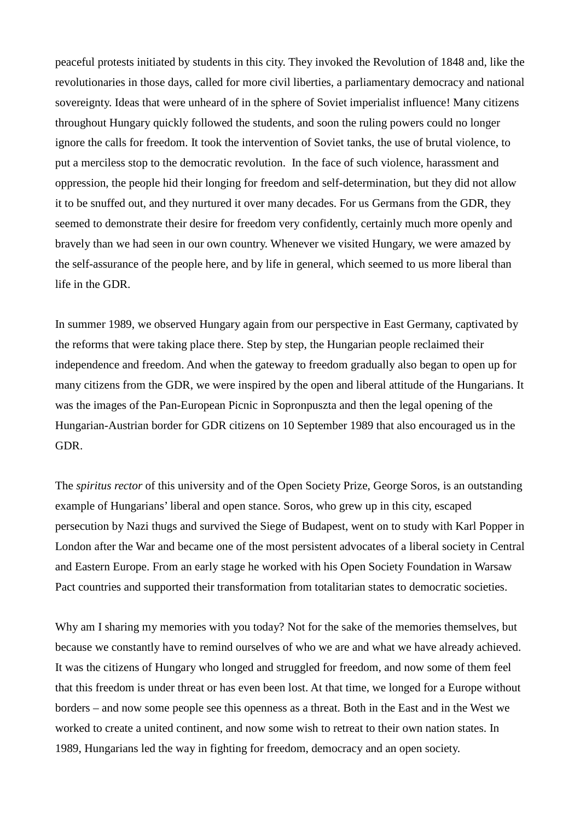peaceful protests initiated by students in this city. They invoked the Revolution of 1848 and, like the revolutionaries in those days, called for more civil liberties, a parliamentary democracy and national sovereignty. Ideas that were unheard of in the sphere of Soviet imperialist influence! Many citizens throughout Hungary quickly followed the students, and soon the ruling powers could no longer ignore the calls for freedom. It took the intervention of Soviet tanks, the use of brutal violence, to put a merciless stop to the democratic revolution. In the face of such violence, harassment and oppression, the people hid their longing for freedom and self-determination, but they did not allow it to be snuffed out, and they nurtured it over many decades. For us Germans from the GDR, they seemed to demonstrate their desire for freedom very confidently, certainly much more openly and bravely than we had seen in our own country. Whenever we visited Hungary, we were amazed by the self-assurance of the people here, and by life in general, which seemed to us more liberal than life in the GDR.

In summer 1989, we observed Hungary again from our perspective in East Germany, captivated by the reforms that were taking place there. Step by step, the Hungarian people reclaimed their independence and freedom. And when the gateway to freedom gradually also began to open up for many citizens from the GDR, we were inspired by the open and liberal attitude of the Hungarians. It was the images of the Pan-European Picnic in Sopronpuszta and then the legal opening of the Hungarian-Austrian border for GDR citizens on 10 September 1989 that also encouraged us in the GDR.

The *spiritus rector* of this university and of the Open Society Prize, George Soros, is an outstanding example of Hungarians' liberal and open stance. Soros, who grew up in this city, escaped persecution by Nazi thugs and survived the Siege of Budapest, went on to study with Karl Popper in London after the War and became one of the most persistent advocates of a liberal society in Central and Eastern Europe. From an early stage he worked with his Open Society Foundation in Warsaw Pact countries and supported their transformation from totalitarian states to democratic societies.

Why am I sharing my memories with you today? Not for the sake of the memories themselves, but because we constantly have to remind ourselves of who we are and what we have already achieved. It was the citizens of Hungary who longed and struggled for freedom, and now some of them feel that this freedom is under threat or has even been lost. At that time, we longed for a Europe without borders – and now some people see this openness as a threat. Both in the East and in the West we worked to create a united continent, and now some wish to retreat to their own nation states. In 1989, Hungarians led the way in fighting for freedom, democracy and an open society.